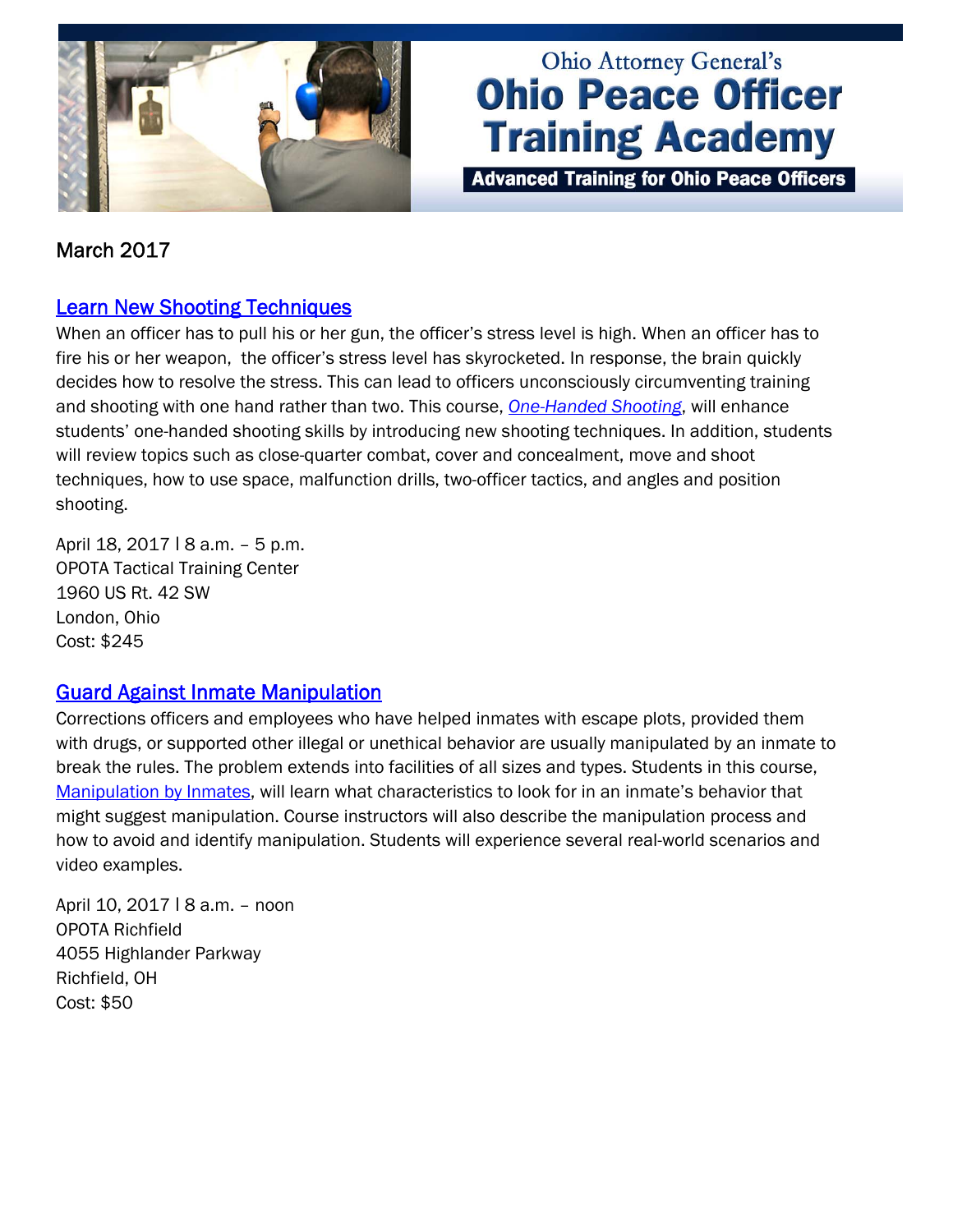

# **Ohio Attorney General's Ohio Peace Officer Training Academy**

**Advanced Training for Ohio Peace Officers** 

## March 2017

#### [Learn New Shooting Techniques](http://www.ohioattorneygeneral.gov/Law-Enforcement/Ohio-Peace-Officer-Training-Academy/Course-Catalog/Course-Search.aspx?searchtext=one-handed+shooting&searchmode=exactphrase)

When an officer has to pull his or her gun, the officer's stress level is high. When an officer has to fire his or her weapon, the officer's stress level has skyrocketed. In response, the brain quickly decides how to resolve the stress. This can lead to officers unconsciously circumventing training and shooting with one hand rather than two. This course, *[One-Handed Shooting](http://www.ohioattorneygeneral.gov/Law-Enforcement/Ohio-Peace-Officer-Training-Academy/Course-Catalog/Course-Search.aspx?searchtext=one-handed+shooting&searchmode=exactphrase)*, will enhance students' one-handed shooting skills by introducing new shooting techniques. In addition, students will review topics such as close-quarter combat, cover and concealment, move and shoot techniques, how to use space, malfunction drills, two-officer tactics, and angles and position shooting.

April 18, 2017 | 8 a.m. - 5 p.m. OPOTA Tactical Training Center 1960 US Rt. 42 SW London, Ohio Cost: \$245

#### [Guard Against Inmate Manipulation](http://www.ohioattorneygeneral.gov/Law-Enforcement/Ohio-Peace-Officer-Training-Academy/Course-Catalog/Course-Search.aspx?searchtext=Manipulation+by+Inmates&searchmode=exactphrase)

Corrections officers and employees who have helped inmates with escape plots, provided them with drugs, or supported other illegal or unethical behavior are usually manipulated by an inmate to break the rules. The problem extends into facilities of all sizes and types. Students in this course, [Manipulation by Inmates,](http://www.ohioattorneygeneral.gov/Law-Enforcement/Ohio-Peace-Officer-Training-Academy/Course-Catalog/Course-Search.aspx?searchtext=Manipulation+by+Inmates&searchmode=exactphrase) will learn what characteristics to look for in an inmate's behavior that might suggest manipulation. Course instructors will also describe the manipulation process and how to avoid and identify manipulation. Students will experience several real-world scenarios and video examples.

April 10, 2017 | 8 a.m. - noon OPOTA Richfield 4055 Highlander Parkway Richfield, OH Cost: \$50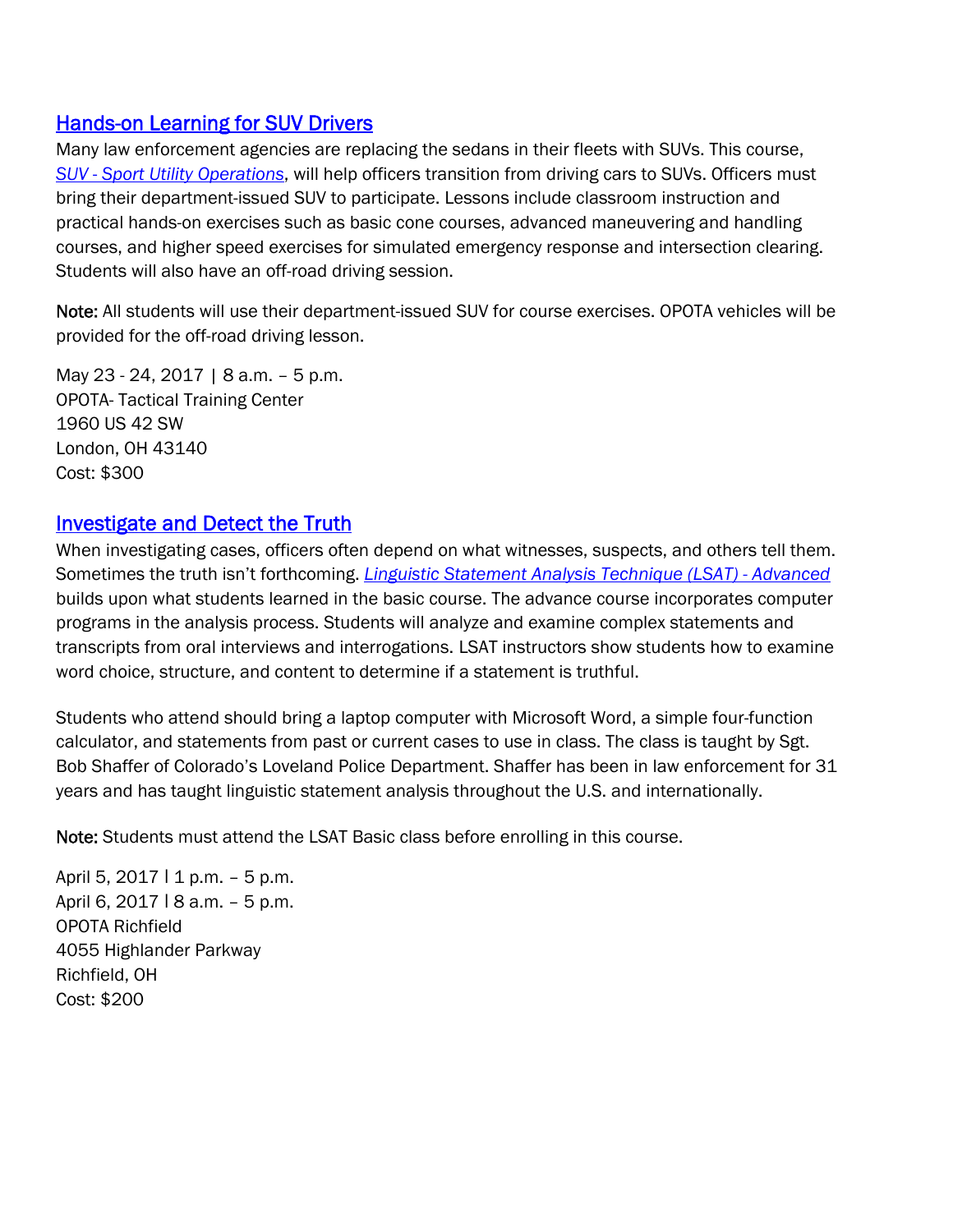### [Hands-on Learning for SUV Drivers](http://www.ohioattorneygeneral.gov/Law-Enforcement/Ohio-Peace-Officer-Training-Academy/Course-Catalog/Course-Categories/Driving-Courses#OPOTA149)

Many law enforcement agencies are replacing the sedans in their fleets with SUVs. This course, *SUV* - *[Sport Utility Operations](http://www.ohioattorneygeneral.gov/Law-Enforcement/Ohio-Peace-Officer-Training-Academy/Course-Catalog/Course-Categories/Driving-Courses#OPOTA149)*, will help officers transition from driving cars to SUVs. Officers must bring their department-issued SUV to participate. Lessons include classroom instruction and practical hands-on exercises such as basic cone courses, advanced maneuvering and handling courses, and higher speed exercises for simulated emergency response and intersection clearing. Students will also have an off-road driving session.

Note: All students will use their department-issued SUV for course exercises. OPOTA vehicles will be provided for the off-road driving lesson.

May 23 - 24, 2017 | 8 a.m. – 5 p.m. OPOTA- Tactical Training Center 1960 US 42 SW London, OH 43140 Cost: \$300

## [Investigate and Detect the Truth](http://www.ohioattorneygeneral.gov/Law-Enforcement/Ohio-Peace-Officer-Training-Academy/Course-Catalog/Course-Search?searchtext=linguistic&searchmode=anyword)

When investigating cases, officers often depend on what witnesses, suspects, and others tell them. Sometimes the truth isn't forthcoming. *[Linguistic Statement Analysis Technique \(LSAT\) - Advanced](http://www.ohioattorneygeneral.gov/Law-Enforcement/Ohio-Peace-Officer-Training-Academy/Course-Catalog/Course-Search?searchtext=linguistic&searchmode=anyword)* builds upon what students learned in the basic course. The advance course incorporates computer programs in the analysis process. Students will analyze and examine complex statements and transcripts from oral interviews and interrogations. LSAT instructors show students how to examine word choice, structure, and content to determine if a statement is truthful.

Students who attend should bring a laptop computer with Microsoft Word, a simple four-function calculator, and statements from past or current cases to use in class. The class is taught by Sgt. Bob Shaffer of Colorado's Loveland Police Department. Shaffer has been in law enforcement for 31 years and has taught linguistic statement analysis throughout the U.S. and internationally.

Note: Students must attend the LSAT Basic class before enrolling in this course.

April 5,  $2017 \mid 1 \text{ p.m.} - 5 \text{ p.m.}$ April 6, 2017 | 8 a.m. - 5 p.m. OPOTA Richfield 4055 Highlander Parkway Richfield, OH Cost: \$200